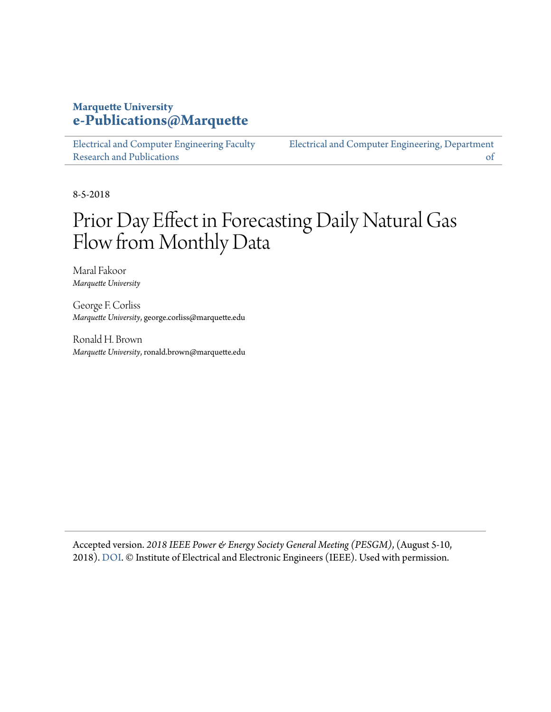#### **Marquette University [e-Publications@Marquette](https://epublications.marquette.edu)**

[Electrical and Computer Engineering Faculty](https://epublications.marquette.edu/electric_fac) [Research and Publications](https://epublications.marquette.edu/electric_fac)

[Electrical and Computer Engineering, Department](https://epublications.marquette.edu/electric) [of](https://epublications.marquette.edu/electric)

8-5-2018

## Prior Day Effect in Forecasting Daily Natural Gas Flow from Monthly Data

Maral Fakoor *Marquette University*

George F. Corliss *Marquette University*, george.corliss@marquette.edu

Ronald H. Brown *Marquette University*, ronald.brown@marquette.edu

Accepted version. *2018 IEEE Power & Energy Society General Meeting (PESGM)*, (August 5-10, 2018). [DOI.](https://doi.org/10.1109/PESGM.2018.8586017) © Institute of Electrical and Electronic Engineers (IEEE). Used with permission.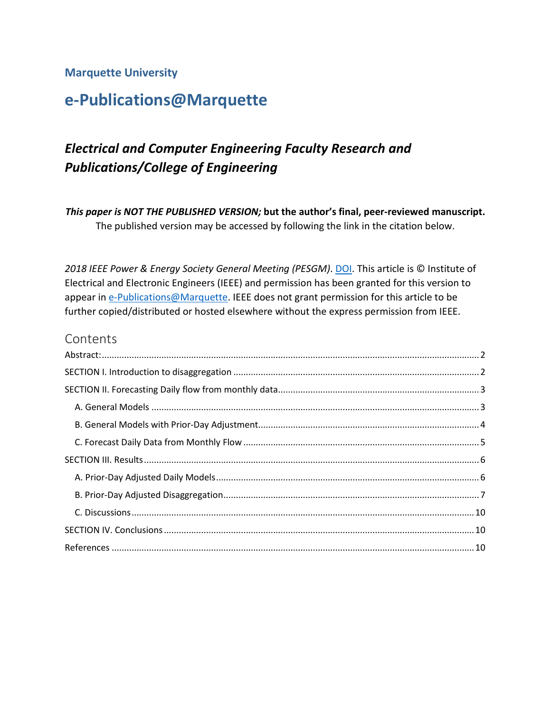#### **Marquette University**

## **e-Publications@Marquette**

## *Electrical and Computer Engineering Faculty Research and Publications/College of Engineering*

*This paper is NOT THE PUBLISHED VERSION;* **but the author's final, peer-reviewed manuscript.**  The published version may be accessed by following the link in the citation below.

*2018 IEEE Power & Energy Society General Meeting (PESGM)*. [DOI.](https://doi.org/10.1109/PESGM.2018.8586017) This article is © Institute of Electrical and Electronic Engineers (IEEE) and permission has been granted for this version to appear i[n e-Publications@Marquette.](http://epublications.marquette.edu/) IEEE does not grant permission for this article to be further copied/distributed or hosted elsewhere without the express permission from IEEE.

#### Contents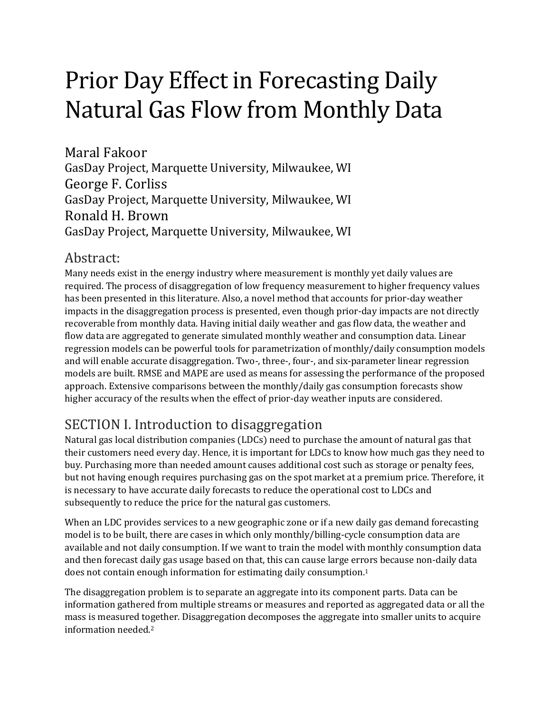# Prior Day Effect in Forecasting Daily Natural Gas Flow from Monthly Data

Maral Fakoor GasDay Project, Marquette University, Milwaukee, WI George F. Corliss GasDay Project, Marquette University, Milwaukee, WI Ronald H. Brown GasDay Project, Marquette University, Milwaukee, WI

#### <span id="page-2-0"></span>Abstract:

Many needs exist in the energy industry where measurement is monthly yet daily values are required. The process of disaggregation of low frequency measurement to higher frequency values has been presented in this literature. Also, a novel method that accounts for prior-day weather impacts in the disaggregation process is presented, even though prior-day impacts are not directly recoverable from monthly data. Having initial daily weather and gas flow data, the weather and flow data are aggregated to generate simulated monthly weather and consumption data. Linear regression models can be powerful tools for parametrization of monthly/daily consumption models and will enable accurate disaggregation. Two-, three-, four-, and six-parameter linear regression models are built. RMSE and MAPE are used as means for assessing the performance of the proposed approach. Extensive comparisons between the monthly/daily gas consumption forecasts show higher accuracy of the results when the effect of prior-day weather inputs are considered.

## <span id="page-2-1"></span>SECTION I. Introduction to disaggregation

Natural gas local distribution companies (LDCs) need to purchase the amount of natural gas that their customers need every day. Hence, it is important for LDCs to know how much gas they need to buy. Purchasing more than needed amount causes additional cost such as storage or penalty fees, but not having enough requires purchasing gas on the spot market at a premium price. Therefore, it is necessary to have accurate daily forecasts to reduce the operational cost to LDCs and subsequently to reduce the price for the natural gas customers.

When an LDC provides services to a new geographic zone or if a new daily gas demand forecasting model is to be built, there are cases in which only monthly/billing-cycle consumption data are available and not daily consumption. If we want to train the model with monthly consumption data and then forecast daily gas usage based on that, this can cause large errors because non-daily data does not contain enough information for estimating daily consumption. 1

The disaggregation problem is to separate an aggregate into its component parts. Data can be information gathered from multiple streams or measures and reported as aggregated data or all the mass is measured together. Disaggregation decomposes the aggregate into smaller units to acquire information needed.2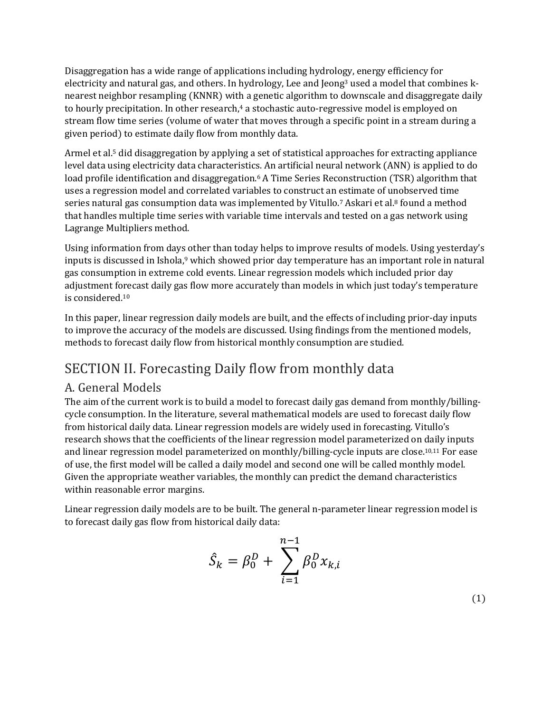Disaggregation has a wide range of applications including hydrology, energy efficiency for electricity and natural gas, and others. In hydrology, Lee and Jeong<sup>3</sup> used a model that combines knearest neighbor resampling (KNNR) with a genetic algorithm to downscale and disaggregate daily to hourly precipitation. In other research, <sup>4</sup> a stochastic auto-regressive model is employed on stream flow time series (volume of water that moves through a specific point in a stream during a given period) to estimate daily flow from monthly data.

Armel et al.<sup>5</sup> did disaggregation by applying a set of statistical approaches for extracting appliance level data using electricity data characteristics. An artificial neural network (ANN) is applied to do load profile identification and disaggregation. <sup>6</sup> A Time Series Reconstruction (TSR) algorithm that uses a regression model and correlated variables to construct an estimate of unobserved time series natural gas consumption data was implemented by Vitullo.<sup>7</sup> Askari et al.<sup>8</sup> found a method that handles multiple time series with variable time intervals and tested on a gas network using Lagrange Multipliers method.

Using information from days other than today helps to improve results of models. Using yesterday's inputs is discussed in Ishola, <sup>9</sup> which showed prior day temperature has an important role in natural gas consumption in extreme cold events. Linear regression models which included prior day adjustment forecast daily gas flow more accurately than models in which just today's temperature is considered. 10

In this paper, linear regression daily models are built, and the effects of including prior-day inputs to improve the accuracy of the models are discussed. Using findings from the mentioned models, methods to forecast daily flow from historical monthly consumption are studied.

## <span id="page-3-0"></span>SECTION II. Forecasting Daily flow from monthly data

#### <span id="page-3-1"></span>A. General Models

The aim of the current work is to build a model to forecast daily gas demand from monthly/billingcycle consumption. In the literature, several mathematical models are used to forecast daily flow from historical daily data. Linear regression models are widely used in forecasting. Vitullo's research shows that the coefficients of the linear regression model parameterized on daily inputs and linear regression model parameterized on monthly/billing-cycle inputs are close. 10,11 For ease of use, the first model will be called a daily model and second one will be called monthly model. Given the appropriate weather variables, the monthly can predict the demand characteristics within reasonable error margins.

Linear regression daily models are to be built. The general n-parameter linear regression model is to forecast daily gas flow from historical daily data:

$$
\hat{S}_k = \beta_0^D + \sum_{i=1}^{n-1} \beta_0^D x_{k,i}
$$

(1)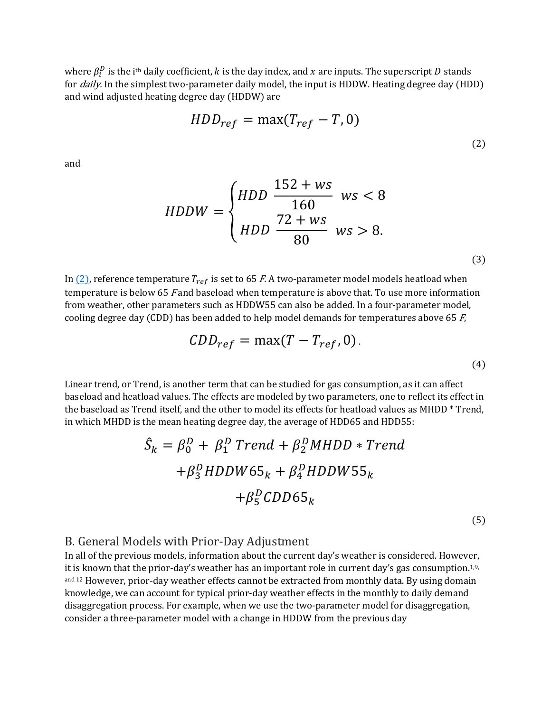where  $\beta^D_i$  is the i<sup>th</sup> daily coefficient,  $k$  is the day index, and  $x$  are inputs. The superscript  $D$  stands for *daily*. In the simplest two-parameter daily model, the input is HDDW. Heating degree day (HDD) and wind adjusted heating degree day (HDDW) are

$$
HDD_{ref} = \max(T_{ref} - T, 0)
$$
\n<sup>(2)</sup>

and

$$
HDDW = \begin{cases} HDD & \frac{152 + ws}{160} & \text{ws} < 8\\ HDD & \frac{72 + ws}{80} & \text{ws} > 8. \end{cases}
$$
\n(3)

In  $(2)$ , reference temperature  $T_{ref}$  is set to 65 *F*. A two-parameter model models heatload when temperature is below 65 F and baseload when temperature is above that. To use more information from weather, other parameters such as HDDW55 can also be added. In a four-parameter model, cooling degree day (CDD) has been added to help model demands for temperatures above 65  $F$ ,

$$
CDD_{ref} = \max(T - T_{ref}, 0). \tag{4}
$$

Linear trend, or Trend, is another term that can be studied for gas consumption, as it can affect baseload and heatload values. The effects are modeled by two parameters, one to reflect its effect in the baseload as Trend itself, and the other to model its effects for heatload values as MHDD \* Trend, in which MHDD is the mean heating degree day, the average of HDD65 and HDD55:

$$
\hat{S}_k = \beta_0^D + \beta_1^D \text{ Trend} + \beta_2^D \text{ MHDD * Trend}
$$
  
+  $\beta_3^D \text{ HDDW65}_k + \beta_4^D \text{ HDDW55}_k$   
+  $\beta_5^D \text{CDD65}_k$ 

(5)

#### <span id="page-4-0"></span>B. General Models with Prior-Day Adjustment

In all of the previous models, information about the current day's weather is considered. However, it is known that the prior-day's weather has an important role in current day's gas consumption. $^{1,9,\,}$ and 12 However, prior-day weather effects cannot be extracted from monthly data. By using domain knowledge, we can account for typical prior-day weather effects in the monthly to daily demand disaggregation process. For example, when we use the two-parameter model for disaggregation, consider a three-parameter model with a change in HDDW from the previous day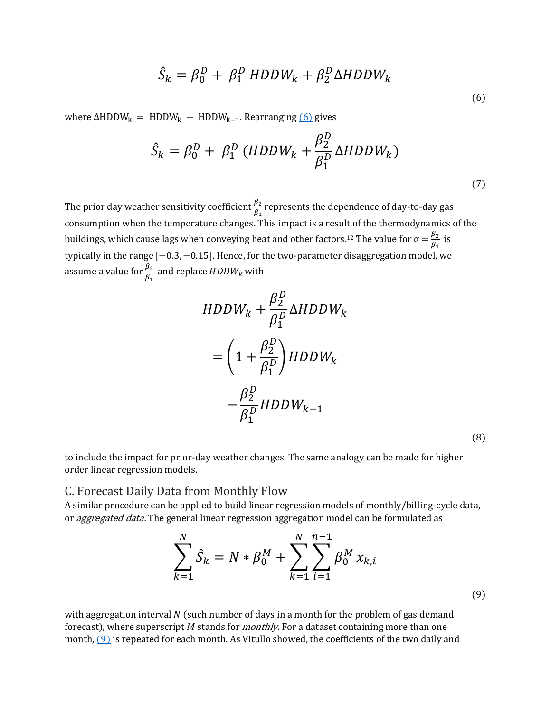$$
\hat{S}_k = \beta_0^D + \beta_1^D \ HDDW_k + \beta_2^D \Delta HDDW_k \tag{6}
$$

where  $\Delta HDDW_k$  = HDDW<sub>k</sub> − HDDW<sub>k−1</sub>. Rearranging [\(6\)](https://ieeexplore.ieee.org/document/#deqn6) gives

$$
\hat{S}_k = \beta_0^D + \beta_1^D \left( HDDW_k + \frac{\beta_2^D}{\beta_1^D} \Delta HDDW_k \right) \tag{7}
$$

The prior day weather sensitivity coefficient  $\frac{\beta_2}{\beta_1}$  represents the dependence of day-to-day gas consumption when the temperature changes. This impact is a result of the thermodynamics of the buildings, which cause lags when conveying heat and other factors.<sup>12</sup> The value for  $\alpha = \frac{\beta_2}{\beta_1}$  is typically in the range [−0.3, −0.15]. Hence, for the two-parameter disaggregation model, we assume a value for  $\frac{\beta_2}{\beta_1}$  and replace  $HDDW_k$  with

$$
HDDW_k + \frac{\beta_2^D}{\beta_1^D} \Delta HDDW_k
$$
  
=  $\left(1 + \frac{\beta_2^D}{\beta_1^D}\right) HDDW_k$   
 $-\frac{\beta_2^D}{\beta_1^D} HDDW_{k-1}$ 

(8)

to include the impact for prior-day weather changes. The same analogy can be made for higher order linear regression models.

#### <span id="page-5-0"></span>C. Forecast Daily Data from Monthly Flow

A similar procedure can be applied to build linear regression models of monthly/billing-cycle data, or *aggregated data*. The general linear regression aggregation model can be formulated as

$$
\sum_{k=1}^{N} \hat{S}_k = N * \beta_0^M + \sum_{k=1}^{N} \sum_{i=1}^{n-1} \beta_0^M x_{k,i}
$$
\n(9)

with aggregation interval  $N$  (such number of days in a month for the problem of gas demand forecast), where superscript  $M$  stands for *monthly*. For a dataset containing more than one month, [\(9\)](https://ieeexplore.ieee.org/document/#deqn9) is repeated for each month. As Vitullo showed, the coefficients of the two daily and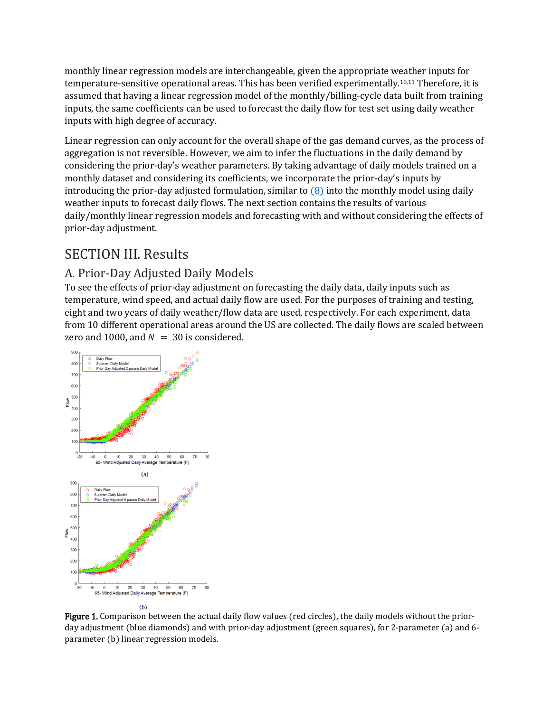monthly linear regression models are interchangeable, given the appropriate weather inputs for temperature-sensitive operational areas. This has been verified experimentally.<sup>10,11</sup> Therefore, it is assumed that having a linear regression model of the monthly/billing-cycle data built from training inputs, the same coefficients can be used to forecast the daily flow for test set using daily weather inputs with high degree of accuracy.

Linear regression can only account for the overall shape of the gas demand curves, as the process of aggregation is not reversible. However, we aim to infer the fluctuations in the daily demand by considering the prior-day's weather parameters. By taking advantage of daily models trained on a monthly dataset and considering its coefficients, we incorporate the prior-day's inputs by introducing the prior-day adjusted formulation, similar to  $(8)$  into the monthly model using daily weather inputs to forecast daily flows. The next section contains the results of various daily/monthly linear regression models and forecasting with and without considering the effects of prior-day adjustment.

#### <span id="page-6-0"></span>SECTION III. Results

#### <span id="page-6-1"></span>A. Prior-Day Adjusted Daily Models

To see the effects of prior-day adjustment on forecasting the daily data, daily inputs such as temperature, wind speed, and actual daily flow are used. For the purposes of training and testing, eight and two years of daily weather/flow data are used, respectively. For each experiment, data from 10 different operational areas around the US are collected. The daily flows are scaled between zero and 1000, and  $N = 30$  is considered.



Figure 1. Comparison between the actual daily flow values (red circles), the daily models without the priorday adjustment (blue diamonds) and with prior-day adjustment (green squares), for 2-parameter (a) and 6 parameter (b) linear regression models.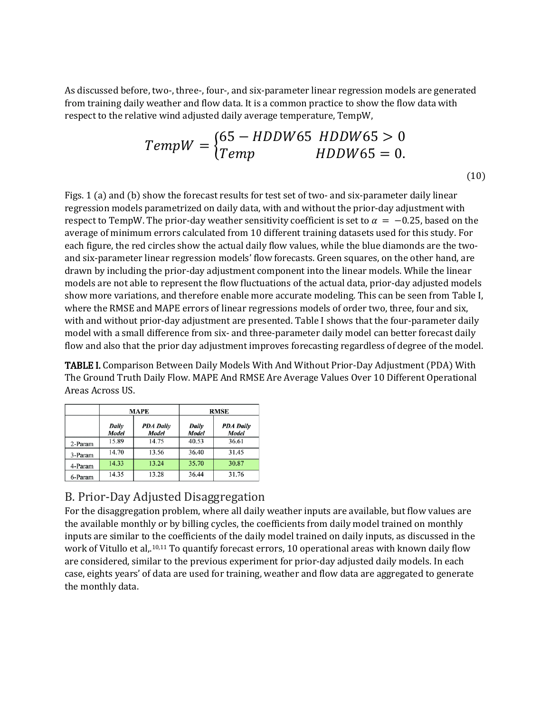As discussed before, two-, three-, four-, and six-parameter linear regression models are generated from training daily weather and flow data. It is a common practice to show the flow data with respect to the relative wind adjusted daily average temperature, TempW,

$$
TempW = \begin{cases} 65 - HDDW65 & HDDW65 > 0 \\ Temp & HDDW65 = 0. \end{cases}
$$
\n
$$
(10)
$$

Figs. 1 (a) and (b) show the forecast results for test set of two- and six-parameter daily linear regression models parametrized on daily data, with and without the prior-day adjustment with respect to TempW. The prior-day weather sensitivity coefficient is set to  $\alpha = -0.25$ , based on the average of minimum errors calculated from 10 different training datasets used for this study. For each figure, the red circles show the actual daily flow values, while the blue diamonds are the twoand six-parameter linear regression models' flow forecasts. Green squares, on the other hand, are drawn by including the prior-day adjustment component into the linear models. While the linear models are not able to represent the flow fluctuations of the actual data, prior-day adjusted models show more variations, and therefore enable more accurate modeling. This can be seen from Table I, where the RMSE and MAPE errors of linear regressions models of order two, three, four and six, with and without prior-day adjustment are presented. Table I shows that the four-parameter daily model with a small difference from six- and three-parameter daily model can better forecast daily flow and also that the prior day adjustment improves forecasting regardless of degree of the model.

TABLE I. Comparison Between Daily Models With And Without Prior-Day Adjustment (PDA) With The Ground Truth Daily Flow. MAPE And RMSE Are Average Values Over 10 Different Operational Areas Across US.

|         | <b>MAPE</b>           |                                  | <b>RMSE</b>    |                           |
|---------|-----------------------|----------------------------------|----------------|---------------------------|
|         | Daily<br><b>Model</b> | <b>PDA Daily</b><br><b>Model</b> | Daily<br>Model | <b>PDA Dailv</b><br>Model |
| 2-Param | 15.89                 | 14.75                            | 40.53          | 36.61                     |
| 3-Param | 14.70                 | 13.56                            | 36.40          | 31.45                     |
| 4-Param | 14.33                 | 13.24                            | 35.70          | 30.87                     |
| 6-Param | 14.35                 | 13.28                            | 36.44          | 31.76                     |

#### <span id="page-7-0"></span>B. Prior-Day Adjusted Disaggregation

For the disaggregation problem, where all daily weather inputs are available, but flow values are the available monthly or by billing cycles, the coefficients from daily model trained on monthly inputs are similar to the coefficients of the daily model trained on daily inputs, as discussed in the work of Vitullo et al,  $^{10,11}$  To quantify forecast errors, 10 operational areas with known daily flow are considered, similar to the previous experiment for prior-day adjusted daily models. In each case, eights years' of data are used for training, weather and flow data are aggregated to generate the monthly data.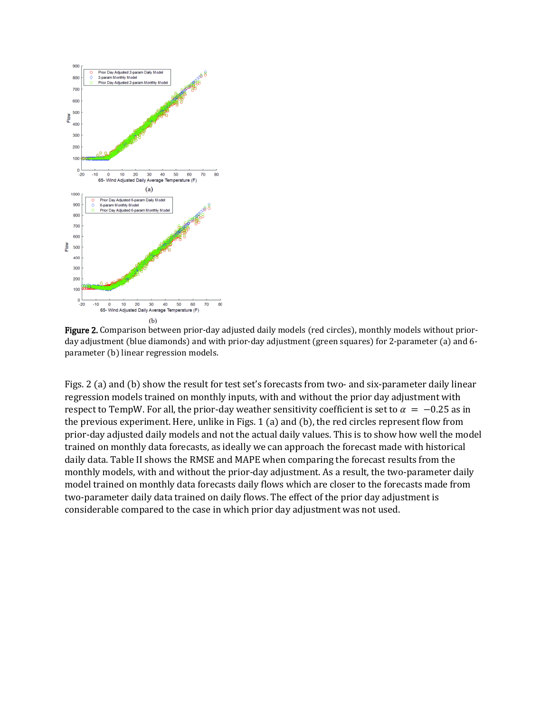

Figure 2. Comparison between prior-day adjusted daily models (red circles), monthly models without priorday adjustment (blue diamonds) and with prior-day adjustment (green squares) for 2-parameter (a) and 6 parameter (b) linear regression models.

Figs. 2 (a) and (b) show the result for test set's forecasts from two- and six-parameter daily linear regression models trained on monthly inputs, with and without the prior day adjustment with respect to TempW. For all, the prior-day weather sensitivity coefficient is set to  $\alpha = -0.25$  as in the previous experiment. Here, unlike in Figs. 1 (a) and (b), the red circles represent flow from prior-day adjusted daily models and not the actual daily values. This is to show how well the model trained on monthly data forecasts, as ideally we can approach the forecast made with historical daily data. Table II shows the RMSE and MAPE when comparing the forecast results from the monthly models, with and without the prior-day adjustment. As a result, the two-parameter daily model trained on monthly data forecasts daily flows which are closer to the forecasts made from two-parameter daily data trained on daily flows. The effect of the prior day adjustment is considerable compared to the case in which prior day adjustment was not used.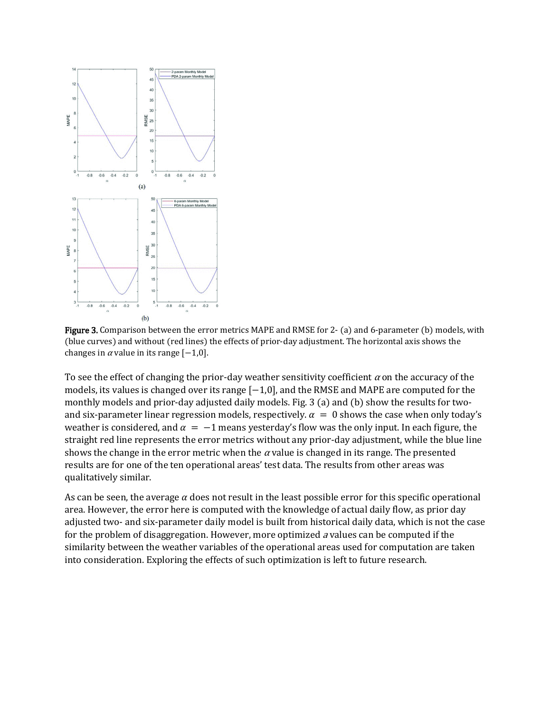

Figure 3. Comparison between the error metrics MAPE and RMSE for 2- (a) and 6-parameter (b) models, with (blue curves) and without (red lines) the effects of prior-day adjustment. The horizontal axis shows the changes in  $\alpha$  value in its range  $[-1,0]$ .

To see the effect of changing the prior-day weather sensitivity coefficient  $\alpha$  on the accuracy of the models, its values is changed over its range [−1,0], and the RMSE and MAPE are computed for the monthly models and prior-day adjusted daily models. Fig. 3 (a) and (b) show the results for twoand six-parameter linear regression models, respectively.  $\alpha = 0$  shows the case when only today's weather is considered, and  $\alpha = -1$  means yesterday's flow was the only input. In each figure, the straight red line represents the error metrics without any prior-day adjustment, while the blue line shows the change in the error metric when the  $\alpha$  value is changed in its range. The presented results are for one of the ten operational areas' test data. The results from other areas was qualitatively similar.

As can be seen, the average  $\alpha$  does not result in the least possible error for this specific operational area. However, the error here is computed with the knowledge of actual daily flow, as prior day adjusted two- and six-parameter daily model is built from historical daily data, which is not the case for the problem of disaggregation. However, more optimized a values can be computed if the similarity between the weather variables of the operational areas used for computation are taken into consideration. Exploring the effects of such optimization is left to future research.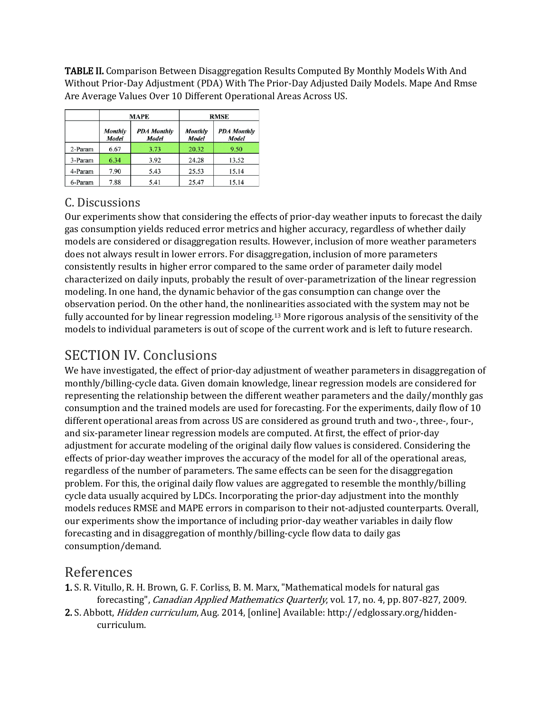TABLE II. Comparison Between Disaggregation Results Computed By Monthly Models With And Without Prior-Day Adjustment (PDA) With The Prior-Day Adjusted Daily Models. Mape And Rmse Are Average Values Over 10 Different Operational Areas Across US.

|         | <b>MAPE</b>             |                                    | <b>RMSE</b>             |                             |
|---------|-------------------------|------------------------------------|-------------------------|-----------------------------|
|         | <b>Monthly</b><br>Model | <b>PDA Monthly</b><br><b>Model</b> | <b>Monthly</b><br>Model | <b>PDA</b> Monthly<br>Model |
| 2-Param | 6.67                    | 3.73                               | 20.32                   | 9.50                        |
| 3-Param | 6.34                    | 3.92                               | 24.28                   | 13.52                       |
| 4-Param | 7.90                    | 5.43                               | 25.53                   | 15.14                       |
| 6-Param | 7.88                    | 5.41                               | 25.47                   | 15.14                       |

#### <span id="page-10-0"></span>C. Discussions

Our experiments show that considering the effects of prior-day weather inputs to forecast the daily gas consumption yields reduced error metrics and higher accuracy, regardless of whether daily models are considered or disaggregation results. However, inclusion of more weather parameters does not always result in lower errors. For disaggregation, inclusion of more parameters consistently results in higher error compared to the same order of parameter daily model characterized on daily inputs, probably the result of over-parametrization of the linear regression modeling. In one hand, the dynamic behavior of the gas consumption can change over the observation period. On the other hand, the nonlinearities associated with the system may not be fully accounted for by linear regression modeling. <sup>13</sup> More rigorous analysis of the sensitivity of the models to individual parameters is out of scope of the current work and is left to future research.

## <span id="page-10-1"></span>SECTION IV. Conclusions

We have investigated, the effect of prior-day adjustment of weather parameters in disaggregation of monthly/billing-cycle data. Given domain knowledge, linear regression models are considered for representing the relationship between the different weather parameters and the daily/monthly gas consumption and the trained models are used for forecasting. For the experiments, daily flow of 10 different operational areas from across US are considered as ground truth and two-, three-, four-, and six-parameter linear regression models are computed. At first, the effect of prior-day adjustment for accurate modeling of the original daily flow values is considered. Considering the effects of prior-day weather improves the accuracy of the model for all of the operational areas, regardless of the number of parameters. The same effects can be seen for the disaggregation problem. For this, the original daily flow values are aggregated to resemble the monthly/billing cycle data usually acquired by LDCs. Incorporating the prior-day adjustment into the monthly models reduces RMSE and MAPE errors in comparison to their not-adjusted counterparts. Overall, our experiments show the importance of including prior-day weather variables in daily flow forecasting and in disaggregation of monthly/billing-cycle flow data to daily gas consumption/demand.

#### <span id="page-10-2"></span>References

- 1. S. R. Vitullo, R. H. Brown, G. F. Corliss, B. M. Marx, "Mathematical models for natural gas forecasting", Canadian Applied Mathematics Quarterly, vol. 17, no. 4, pp. 807-827, 2009.
- 2. S. Abbott, Hidden curriculum, Aug. 2014, [online] Available: http://edglossary.org/hiddencurriculum.